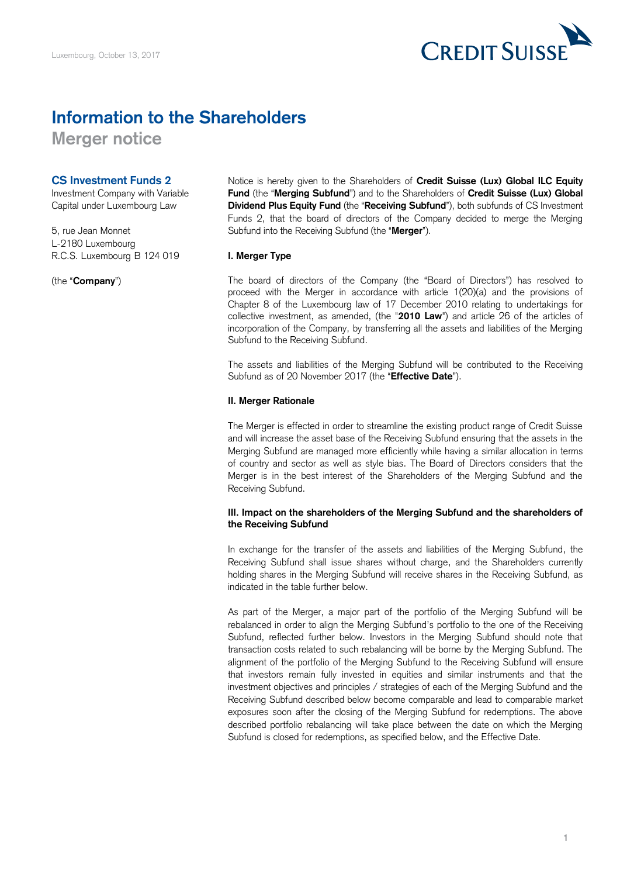

# **Information to the Shareholders**

**Merger notice** 

# **CS Investment Funds 2**

Investment Company with Variable Capital under Luxembourg Law

5, rue Jean Monnet L-2180 Luxembourg R.C.S. Luxembourg B 124 019

(the "**Company**")

 **Fund** (the "**Merging Subfund**") and to the Shareholders of **Credit Suisse (Lux) Global**  Funds 2, that the board of directors of the Company decided to merge the Merging Subfund into the Receiving Subfund (the "**Merger**"). Notice is hereby given to the Shareholders of **Credit Suisse (Lux) Global ILC Equity Dividend Plus Equity Fund** (the "**Receiving Subfund**"), both subfunds of CS Investment

# **I. Merger Type**

 The board of directors of the Company (the "Board of Directors") has resolved to proceed with the Merger in accordance with article 1(20)(a) and the provisions of Chapter 8 of the Luxembourg law of 17 December 2010 relating to undertakings for collective investment, as amended, (the "**2010 Law**") and article 26 of the articles of incorporation of the Company, by transferring all the assets and liabilities of the Merging Subfund to the Receiving Subfund.

 The assets and liabilities of the Merging Subfund will be contributed to the Receiving Subfund as of 20 November 2017 (the "**Effective Date**").

## **II. Merger Rationale**

 The Merger is effected in order to streamline the existing product range of Credit Suisse and will increase the asset base of the Receiving Subfund ensuring that the assets in the Merging Subfund are managed more efficiently while having a similar allocation in terms of country and sector as well as style bias. The Board of Directors considers that the Merger is in the best interest of the Shareholders of the Merging Subfund and the Receiving Subfund.

## **III. Impact on the shareholders of the Merging Subfund and the shareholders of the Receiving Subfund**

 In exchange for the transfer of the assets and liabilities of the Merging Subfund, the Receiving Subfund shall issue shares without charge, and the Shareholders currently holding shares in the Merging Subfund will receive shares in the Receiving Subfund, as indicated in the table further below.

 As part of the Merger, a major part of the portfolio of the Merging Subfund will be rebalanced in order to align the Merging Subfund's portfolio to the one of the Receiving Subfund, reflected further below. Investors in the Merging Subfund should note that transaction costs related to such rebalancing will be borne by the Merging Subfund. The alignment of the portfolio of the Merging Subfund to the Receiving Subfund will ensure that investors remain fully invested in equities and similar instruments and that the investment objectives and principles / strategies of each of the Merging Subfund and the Receiving Subfund described below become comparable and lead to comparable market exposures soon after the closing of the Merging Subfund for redemptions. The above described portfolio rebalancing will take place between the date on which the Merging Subfund is closed for redemptions, as specified below, and the Effective Date.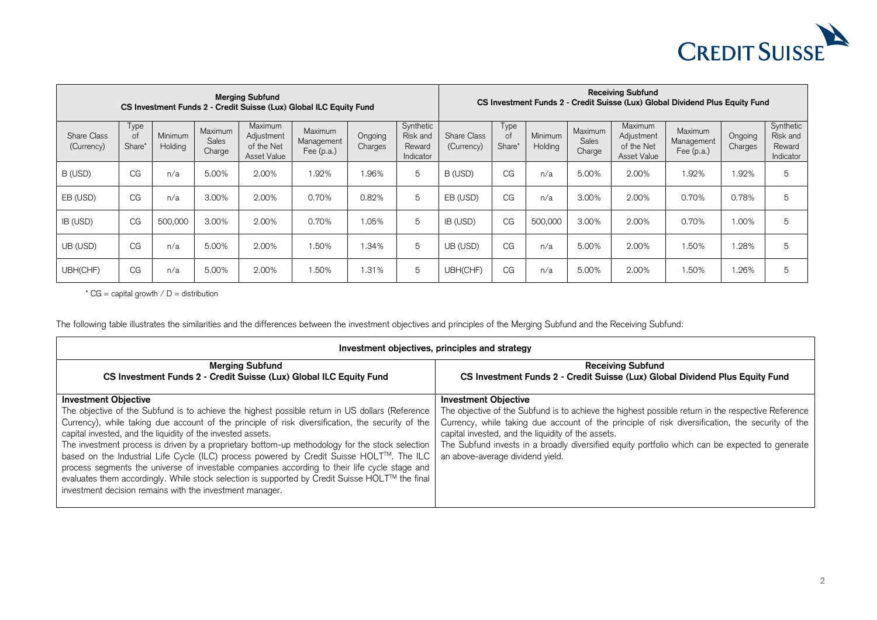

| <b>Merging Subfund</b><br>CS Investment Funds 2 - Credit Suisse (Lux) Global ILC Equity Fund |                      |                    |                            |                                                    |                                     | <b>Receiving Subfund</b><br>CS Investment Funds 2 - Credit Suisse (Lux) Global Dividend Plus Equity Fund |                                              |                           |                      |                           |                            |                                                    |                                       |                    |                                              |
|----------------------------------------------------------------------------------------------|----------------------|--------------------|----------------------------|----------------------------------------------------|-------------------------------------|----------------------------------------------------------------------------------------------------------|----------------------------------------------|---------------------------|----------------------|---------------------------|----------------------------|----------------------------------------------------|---------------------------------------|--------------------|----------------------------------------------|
| Share Class<br>(Currency)                                                                    | Type<br>0t<br>Share* | Minimum<br>Holding | Maximum<br>Sales<br>Charge | Maximum<br>Adjustment<br>of the Net<br>Asset Value | Maximum<br>Management<br>Fee (p.a.) | Ongoing<br>Charges                                                                                       | Synthetic<br>Risk and<br>Reward<br>Indicator | Share Class<br>(Currency) | Type<br>of<br>Share' | <b>Minimum</b><br>Holding | Maximum<br>Sales<br>Charge | Maximum<br>Adjustment<br>of the Net<br>Asset Value | Maximum<br>Management<br>Fee $(p.a.)$ | Ongoing<br>Charges | Synthetic<br>Risk and<br>Reward<br>Indicator |
| B (USD)                                                                                      | CG                   | n/a                | 5.00%                      | 2.00%                                              | .92%                                | .96%                                                                                                     | 5                                            | B (USD)                   | CG                   | n/a                       | 5.00%                      | 2.00%                                              | .92%                                  | .92%               | 5                                            |
| EB (USD)                                                                                     | CG                   | n/a                | 3.00%                      | 2.00%                                              | 0.70%                               | 0.82%                                                                                                    | 5                                            | EB (USD)                  | CG                   | n/a                       | 3.00%                      | 2.00%                                              | 0.70%                                 | 0.78%              | 5                                            |
| IB (USD)                                                                                     | CG                   | 500,000            | 3.00%                      | 2.00%                                              | 0.70%                               | 1.05%                                                                                                    | 5                                            | IB (USD)                  | CG                   | 500,000                   | 3.00%                      | 2.00%                                              | 0.70%                                 | 1.00%              | 5                                            |
| UB (USD)                                                                                     | CG                   | n/a                | 5.00%                      | 2.00%                                              | .50%                                | .34%                                                                                                     | 5                                            | UB (USD)                  | CG                   | n/a                       | 5.00%                      | 2.00%                                              | .50%                                  | .28%               | 5                                            |
| UBH(CHF)                                                                                     | CG                   | n/a                | 5.00%                      | 2.00%                                              | .50%                                | .31%                                                                                                     | 5                                            | UBH(CHF)                  | CG                   | n/a                       | 5.00%                      | 2.00%                                              | .50%                                  | .26%               | 5                                            |

 $\text{* CG} = \text{capital growth} / D = \text{distribution}$ 

The following table illustrates the similarities and the differences between the investment objectives and principles of the Merging Subfund and the Receiving Subfund:

| Investment objectives, principles and strategy                                                                                                                                                                                                                                                                                                                                                                                                                                                                                                                                                                                                                                                                                                                    |                                                                                                                                                                                                                                                                                                                                                                                                                                    |  |  |  |  |
|-------------------------------------------------------------------------------------------------------------------------------------------------------------------------------------------------------------------------------------------------------------------------------------------------------------------------------------------------------------------------------------------------------------------------------------------------------------------------------------------------------------------------------------------------------------------------------------------------------------------------------------------------------------------------------------------------------------------------------------------------------------------|------------------------------------------------------------------------------------------------------------------------------------------------------------------------------------------------------------------------------------------------------------------------------------------------------------------------------------------------------------------------------------------------------------------------------------|--|--|--|--|
| <b>Merging Subfund</b><br>CS Investment Funds 2 - Credit Suisse (Lux) Global ILC Equity Fund                                                                                                                                                                                                                                                                                                                                                                                                                                                                                                                                                                                                                                                                      | <b>Receiving Subfund</b><br>CS Investment Funds 2 - Credit Suisse (Lux) Global Dividend Plus Equity Fund                                                                                                                                                                                                                                                                                                                           |  |  |  |  |
| <b>Investment Objective</b><br>The objective of the Subfund is to achieve the highest possible return in US dollars (Reference<br>Currency), while taking due account of the principle of risk diversification, the security of the<br>capital invested, and the liquidity of the invested assets.<br>The investment process is driven by a proprietary bottom-up methodology for the stock selection<br>based on the Industrial Life Cycle (ILC) process powered by Credit Suisse HOLT™. The ILC<br>process segments the universe of investable companies according to their life cycle stage and<br>evaluates them accordingly. While stock selection is supported by Credit Suisse HOLT™ the final<br>investment decision remains with the investment manager. | <b>Investment Objective</b><br>The objective of the Subfund is to achieve the highest possible return in the respective Reference<br>Currency, while taking due account of the principle of risk diversification, the security of the<br>capital invested, and the liquidity of the assets.<br>The Subfund invests in a broadly diversified equity portfolio which can be expected to generate<br>an above-average dividend yield. |  |  |  |  |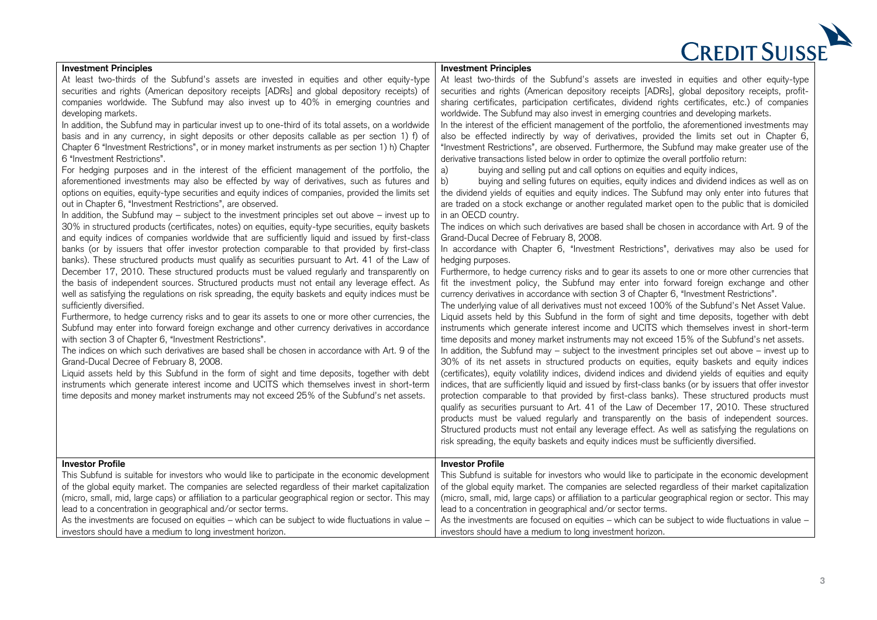| <b>CREDIT SUISSE</b> |
|----------------------|
|                      |

| <b>Investment Principles</b>                                                                                                                                                                                                                                                                                                                                                                                                                                                                                                                                                                                                                                                                                                                                                                                                                                                                                                                                                                                                                                                                                                                                                                                                                                                                                                                                                                                                                                                                                                                                                                                                                                                                                                                                                                                                                                                                                                                                                                                                                                                                                                                                                                                                                                                                                                                                                                                                                                                                                                                                                                   | <b>Investment Principles</b>                                                                                                                                                                                                                                                                                                                                                                                                                                                                                                                                                                                                                                                                                                                                                                                                                                                                                                                                                                                                                                                                                                                                                                                                                                                                                                                                                                                                                                                                                                                                                                                                                                                                                                                                                                                                                                                                                                                                                                                                                                                                                                                                                                                                                                                                                                                                                                                                                                                                                                                                                                                                                                                                                                                                                                                                                                                                                                                                                                                                                                                                    |
|------------------------------------------------------------------------------------------------------------------------------------------------------------------------------------------------------------------------------------------------------------------------------------------------------------------------------------------------------------------------------------------------------------------------------------------------------------------------------------------------------------------------------------------------------------------------------------------------------------------------------------------------------------------------------------------------------------------------------------------------------------------------------------------------------------------------------------------------------------------------------------------------------------------------------------------------------------------------------------------------------------------------------------------------------------------------------------------------------------------------------------------------------------------------------------------------------------------------------------------------------------------------------------------------------------------------------------------------------------------------------------------------------------------------------------------------------------------------------------------------------------------------------------------------------------------------------------------------------------------------------------------------------------------------------------------------------------------------------------------------------------------------------------------------------------------------------------------------------------------------------------------------------------------------------------------------------------------------------------------------------------------------------------------------------------------------------------------------------------------------------------------------------------------------------------------------------------------------------------------------------------------------------------------------------------------------------------------------------------------------------------------------------------------------------------------------------------------------------------------------------------------------------------------------------------------------------------------------|-------------------------------------------------------------------------------------------------------------------------------------------------------------------------------------------------------------------------------------------------------------------------------------------------------------------------------------------------------------------------------------------------------------------------------------------------------------------------------------------------------------------------------------------------------------------------------------------------------------------------------------------------------------------------------------------------------------------------------------------------------------------------------------------------------------------------------------------------------------------------------------------------------------------------------------------------------------------------------------------------------------------------------------------------------------------------------------------------------------------------------------------------------------------------------------------------------------------------------------------------------------------------------------------------------------------------------------------------------------------------------------------------------------------------------------------------------------------------------------------------------------------------------------------------------------------------------------------------------------------------------------------------------------------------------------------------------------------------------------------------------------------------------------------------------------------------------------------------------------------------------------------------------------------------------------------------------------------------------------------------------------------------------------------------------------------------------------------------------------------------------------------------------------------------------------------------------------------------------------------------------------------------------------------------------------------------------------------------------------------------------------------------------------------------------------------------------------------------------------------------------------------------------------------------------------------------------------------------------------------------------------------------------------------------------------------------------------------------------------------------------------------------------------------------------------------------------------------------------------------------------------------------------------------------------------------------------------------------------------------------------------------------------------------------------------------------------------------------|
| At least two-thirds of the Subfund's assets are invested in equities and other equity-type<br>securities and rights (American depository receipts [ADRs] and global depository receipts) of<br>companies worldwide. The Subfund may also invest up to 40% in emerging countries and<br>developing markets.<br>In addition, the Subfund may in particular invest up to one-third of its total assets, on a worldwide<br>basis and in any currency, in sight deposits or other deposits callable as per section 1) f) of<br>Chapter 6 "Investment Restrictions", or in money market instruments as per section 1) h) Chapter<br>6 "Investment Restrictions".<br>For hedging purposes and in the interest of the efficient management of the portfolio, the<br>aforementioned investments may also be effected by way of derivatives, such as futures and<br>options on equities, equity-type securities and equity indices of companies, provided the limits set<br>out in Chapter 6, "Investment Restrictions", are observed.<br>In addition, the Subfund may - subject to the investment principles set out above - invest up to<br>30% in structured products (certificates, notes) on equities, equity-type securities, equity baskets<br>and equity indices of companies worldwide that are sufficiently liquid and issued by first-class<br>banks (or by issuers that offer investor protection comparable to that provided by first-class<br>banks). These structured products must qualify as securities pursuant to Art. 41 of the Law of<br>December 17, 2010. These structured products must be valued regularly and transparently on<br>the basis of independent sources. Structured products must not entail any leverage effect. As<br>well as satisfying the regulations on risk spreading, the equity baskets and equity indices must be<br>sufficiently diversified.<br>Furthermore, to hedge currency risks and to gear its assets to one or more other currencies, the<br>Subfund may enter into forward foreign exchange and other currency derivatives in accordance<br>with section 3 of Chapter 6, "Investment Restrictions".<br>The indices on which such derivatives are based shall be chosen in accordance with Art. 9 of the<br>Grand-Ducal Decree of February 8, 2008.<br>Liquid assets held by this Subfund in the form of sight and time deposits, together with debt<br>instruments which generate interest income and UCITS which themselves invest in short-term<br>time deposits and money market instruments may not exceed 25% of the Subfund's net assets. | At least two-thirds of the Subfund's assets are invested in equities and other equity-type<br>securities and rights (American depository receipts [ADRs], global depository receipts, profit-<br>sharing certificates, participation certificates, dividend rights certificates, etc.) of companies<br>worldwide. The Subfund may also invest in emerging countries and developing markets.<br>In the interest of the efficient management of the portfolio, the aforementioned investments may<br>also be effected indirectly by way of derivatives, provided the limits set out in Chapter 6,<br>"Investment Restrictions", are observed. Furthermore, the Subfund may make greater use of the<br>derivative transactions listed below in order to optimize the overall portfolio return:<br>buying and selling put and call options on equities and equity indices,<br>a)<br>b)<br>buying and selling futures on equities, equity indices and dividend indices as well as on<br>the dividend yields of equities and equity indices. The Subfund may only enter into futures that<br>are traded on a stock exchange or another regulated market open to the public that is domiciled<br>in an OECD country.<br>The indices on which such derivatives are based shall be chosen in accordance with Art. 9 of the<br>Grand-Ducal Decree of February 8, 2008.<br>In accordance with Chapter 6, "Investment Restrictions", derivatives may also be used for<br>hedging purposes.<br>Furthermore, to hedge currency risks and to gear its assets to one or more other currencies that<br>fit the investment policy, the Subfund may enter into forward foreign exchange and other<br>currency derivatives in accordance with section 3 of Chapter 6, "Investment Restrictions".<br>The underlying value of all derivatives must not exceed 100% of the Subfund's Net Asset Value.<br>Liquid assets held by this Subfund in the form of sight and time deposits, together with debt<br>instruments which generate interest income and UCITS which themselves invest in short-term<br>time deposits and money market instruments may not exceed 15% of the Subfund's net assets.<br>In addition, the Subfund may - subject to the investment principles set out above - invest up to<br>30% of its net assets in structured products on equities, equity baskets and equity indices<br>(certificates), equity volatility indices, dividend indices and dividend yields of equities and equity<br>indices, that are sufficiently liquid and issued by first-class banks (or by issuers that offer investor<br>protection comparable to that provided by first-class banks). These structured products must<br>qualify as securities pursuant to Art. 41 of the Law of December 17, 2010. These structured<br>products must be valued regularly and transparently on the basis of independent sources.<br>Structured products must not entail any leverage effect. As well as satisfying the regulations on<br>risk spreading, the equity baskets and equity indices must be sufficiently diversified. |
| <b>Investor Profile</b><br>This Subfund is suitable for investors who would like to participate in the economic development<br>of the global equity market. The companies are selected regardless of their market capitalization<br>(micro, small, mid, large caps) or affiliation to a particular geographical region or sector. This may<br>lead to a concentration in geographical and/or sector terms.<br>As the investments are focused on equities - which can be subject to wide fluctuations in value -<br>investors should have a medium to long investment horizon.                                                                                                                                                                                                                                                                                                                                                                                                                                                                                                                                                                                                                                                                                                                                                                                                                                                                                                                                                                                                                                                                                                                                                                                                                                                                                                                                                                                                                                                                                                                                                                                                                                                                                                                                                                                                                                                                                                                                                                                                                  | <b>Investor Profile</b><br>This Subfund is suitable for investors who would like to participate in the economic development<br>of the global equity market. The companies are selected regardless of their market capitalization<br>(micro, small, mid, large caps) or affiliation to a particular geographical region or sector. This may<br>lead to a concentration in geographical and/or sector terms.<br>As the investments are focused on equities - which can be subject to wide fluctuations in value -<br>investors should have a medium to long investment horizon.                                                                                                                                                                                                                                                                                                                                                                                                                                                                                                                                                                                                                                                                                                                                                                                                                                                                                                                                                                                                                                                                                                                                                                                                                                                                                                                                                                                                                                                                                                                                                                                                                                                                                                                                                                                                                                                                                                                                                                                                                                                                                                                                                                                                                                                                                                                                                                                                                                                                                                                   |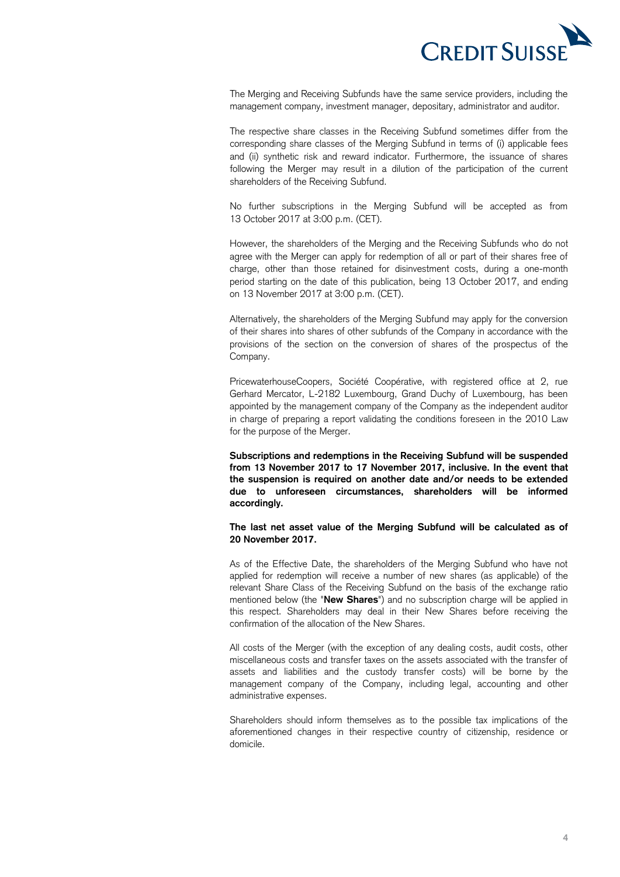

 The Merging and Receiving Subfunds have the same service providers, including the management company, investment manager, depositary, administrator and auditor.

 The respective share classes in the Receiving Subfund sometimes differ from the corresponding share classes of the Merging Subfund in terms of (i) applicable fees and (ii) synthetic risk and reward indicator. Furthermore, the issuance of shares following the Merger may result in a dilution of the participation of the current shareholders of the Receiving Subfund.

shareholders of the Receiving Subfund.<br>No further subscriptions in the Merging Subfund will be accepted as from 13 October 2017 at 3:00 p.m. (CET).

 However, the shareholders of the Merging and the Receiving Subfunds who do not agree with the Merger can apply for redemption of all or part of their shares free of charge, other than those retained for disinvestment costs, during a one-month period starting on the date of this publication, being 13 October 2017, and ending on 13 November 2017 at 3:00 p.m. (CET).

 Alternatively, the shareholders of the Merging Subfund may apply for the conversion of their shares into shares of other subfunds of the Company in accordance with the provisions of the section on the conversion of shares of the prospectus of the Company.

 PricewaterhouseCoopers, Société Coopérative, with registered office at 2, rue Gerhard Mercator, L-2182 Luxembourg, Grand Duchy of Luxembourg, has been appointed by the management company of the Company as the independent auditor in charge of preparing a report validating the conditions foreseen in the 2010 Law for the purpose of the Merger.

 **Subscriptions and redemptions in the Receiving Subfund will be suspended from 13 November 2017 to 17 November 2017, inclusive. In the event that due to unforeseen circumstances, shareholders will be informed the suspension is required on another date and/or needs to be extended accordingly.** 

#### **The last net asset value of the Merging Subfund will be calculated as of 20 November 2017.**

 As of the Effective Date, the shareholders of the Merging Subfund who have not applied for redemption will receive a number of new shares (as applicable) of the relevant Share Class of the Receiving Subfund on the basis of the exchange ratio mentioned below (the "**New Shares**") and no subscription charge will be applied in this respect. Shareholders may deal in their New Shares before receiving the confirmation of the allocation of the New Shares.

 All costs of the Merger (with the exception of any dealing costs, audit costs, other miscellaneous costs and transfer taxes on the assets associated with the transfer of assets and liabilities and the custody transfer costs) will be borne by the management company of the Company, including legal, accounting and other administrative expenses.

 Shareholders should inform themselves as to the possible tax implications of the aforementioned changes in their respective country of citizenship, residence or domicile.